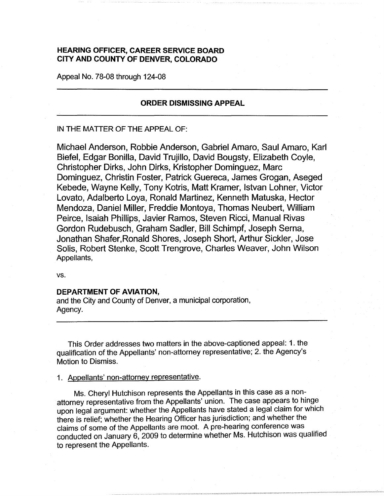# **HEARING OFFICER, CAREER SERVICE BOARD CITY AND COUNTY OF DENVER, COLORADO**

Appeal No. 78-08 through 124-08

## **ORDER DISMISSING APPEAL**

#### IN THE MATTER OF THE APPEAL OF:

Michael Anderson, Robbie Anderson, Gabriel Amaro, Saul Amaro, Karl Biefel, Edgar Bonilla, David Trujillo, David Bougsty, Elizabeth Coyle, Christopher Dirks, John Dirks, Kristopher Dominguez, Marc Dominguez, Christin Foster, Patrick Guereca, James Grogan, Aseged Kebede, Wayne Kelly, Tony Kotris, Matt Kramer, Istvan Lohner, Victor Lovato, Adalberto Loya, Ronald Martinez, Kenneth Matuska, Hector Mendoza, Daniel Miller, Freddie Montoya, Thomas Neubert, William Peirce, Isaiah Phillips, Javier Ramos, Steven Ricci, Manual Rivas Gordon Rudebusch, Graham Sadler, Bill Schimpf, Joseph Serna, Jonathan Shafer,Ronald Shores, Joseph Short, Arthur Sickler, Jose Solis, Robert Stenke, Scott Trengrove, Charles Weaver, John Wilson Appellants,

**vs.** 

## **DEPARTMENT OF AVIATION,**

and the City and County of Denver, a municipal corporation, Agency.

This Order addresses two matters in the above-captioned appeal: 1. the qualification of the Appellants' non-attorney representative; 2. the Agency's Motion to Dismiss.

1. Appellants' non-attorney representative.

Ms. Cheryl Hutchison represents the Appellants in this case as a nonattorney representative from the Appellants' union. The case appears to hinge upon legal argument: whether the Appellants have stated a legal claim for which there is relief; whether the Hearing Officer has jurisdiction; and whether the claims of some of the Appellants are moot. A pre-hearing conference was conducted on January 6, 2009 to determine whether Ms. Hutchison was qualified to represent the Appellants.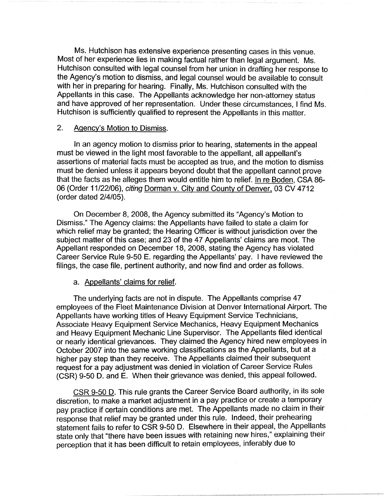Ms. Hutchison has extensive experience presenting cases in this venue. Most of her experience lies in making factual rather than legal argument. Ms. Hutchison consulted with legal counsel from her union in drafting her response to the Agency's motion to dismiss, and legal counsel would be available to consult with her in preparing for hearing. Finally, Ms. Hutchison consulted with the Appellants in this case. The Appellants acknowledge her non-attorney status and have approved of her representation. Under these circumstances, I find Ms. Hutchison is sufficiently qualified to represent the Appellants in this matter.

### 2. Agency's Motion to Dismiss.

In an agency motion to dismiss prior to hearing, statements in the appeal must be viewed in the light most favorable to the appellant, all appellant's assertions of material facts must be accepted as true, and the motion to dismiss must be denied unless it appears beyond doubt that the appellant cannot prove that the facts as he alleges them would entitle him to relief. In re Boden, CSA 86- 06 (Order 11/22/06), citing Dorman v. City and County of Denver, 03 CV 4712 (order dated 2/4/05).

On December 8, 2008, the Agency submitted its "Agency's Motion to Dismiss." The Agency claims: the Appellants have failed to state a claim for which relief may be granted; the Hearing Officer is without jurisdiction over the subject matter of this case; and 23 of the 47 Appellants' claims are moot. The Appellant responded on December 18, 2008, stating the Agency has violated Career Service Rule 9-50 E. regarding the Appellants' pay. I have reviewed the filings, the case file, pertinent authority, and now find and order as follows.

#### a. Appellants' claims for relief.

The underlying facts are not in dispute. The Appellants comprise 47 employees of the Fleet Maintenance Division at Denver International Airport. The Appellants have working titles of Heavy Equipment Service Technicians, Associate Heavy Equipment Service Mechanics, Heavy Equipment Mechanics and Heavy Equipment Mechanic Line Supervisor. The Appellants filed identical or nearly identical grievances. They claimed the Agency hired new employees in October 2007 into the same working classifications as the Appellants, but at a higher pay step than they receive. The Appellants claimed their subsequent request for a pay adjustment was denied in violation of Career Service Rules (CSR) 9-50 D. and E. When their grievance was denied, this appeal followed.

CSR 9-50 D. This rule grants the Career Service Board authority, in its sole discretion, to make a market adjustment in a pay practice or create a temporary pay practice if certain conditions are met. The Appellants made no claim in their response that relief may be granted under this rule. Indeed, their prehearing statement fails to refer to CSR 9-50 D. Elsewhere in their appeal, the Appellants state only that "there have been issues with retaining new hires," explaining their perception that it has been difficult to retain employees, inferably due to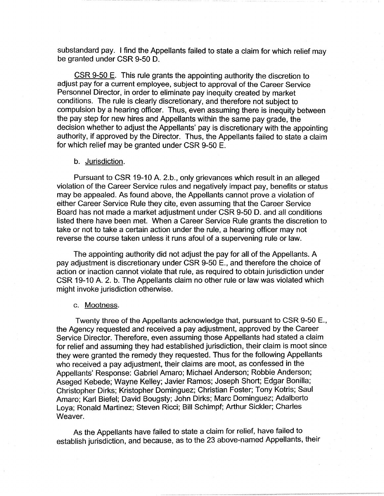substandard pay. I find the Appellants failed to state a claim for which relief may be granted under CSR 9-50 D.

CSR 9-50 E. This rule grants the appointing authority the discretion to adjust pay for a current employee, subject to approval of the Career Service Personnel Director, in order to eliminate pay inequity created by market conditions. The rule is clearly discretionary, and therefore not subject to compulsion by a hearing officer. Thus, even assuming there is inequity between the pay step for new hires and Appellants within the same pay grade, the decision whether to adjust the Appellants' pay is discretionary with the appointing authority, if approved by the Director. Thus, the Appellants failed to state a claim for which relief may be granted under CSR 9-50 E.

#### b. Jurisdiction.

Pursuant to CSR 19-10 A. 2.b., only grievances which result in an alleged violation of the Career Service rules and negatively impact pay, benefits or status may be appealed. As found above, the Appellants cannot prove a violation of either Career Service Rule they cite, even assuming that the Career Service Board has not made a market adjustment under CSR 9-50 D. and all conditions listed there have been met. When a Career Service Rule grants the discretion to take or not to take a certain action under the rule, a hearing officer may not reverse the course taken unless it runs afoul of a supervening rule or law.

The appointing authority did not adjust the pay for all of the Appellants. A pay adjustment is discretionary under CSR 9-50 E., and therefore the choice of action or inaction cannot violate that rule, as required to obtain jurisdiction under CSR 19-10 A. 2. b. The Appellants claim no other rule or law was violated which might invoke jurisdiction otherwise.

#### c. Mootness.

Twenty three of the Appellants acknowledge that, pursuant to CSR 9-50 E., the Agency requested and received a pay adjustment, approved by the Career Service Director. Therefore, even assuming those Appellants had stated a claim for relief and assuming they had established jurisdiction, their claim is moot since they were granted the remedy they requested. Thus for the following Appellants who received a pay adjustment, their claims are moot, as confessed in the Appellants' Response: Gabriel Amaro; Michael Anderson; Robbie Anderson; Aseged Kebede; Wayne Kelley; Javier Ramos; Joseph Short; Edgar Bonilla; Christopher Dirks; Kristopher Dominguez; Christian Foster; Tony Kotris; Saul Amaro; Karl Biefel; David Bougsty; John Dirks; Marc Dominguez; Adalberto Loya; Ronald Martinez; Steven Ricci; Bill Schimpf; Arthur Sickler; Charles Weaver.

As the Appellants have failed to state a claim for relief, have failed to establish jurisdiction, and because, as to the 23 above-named Appellants, their